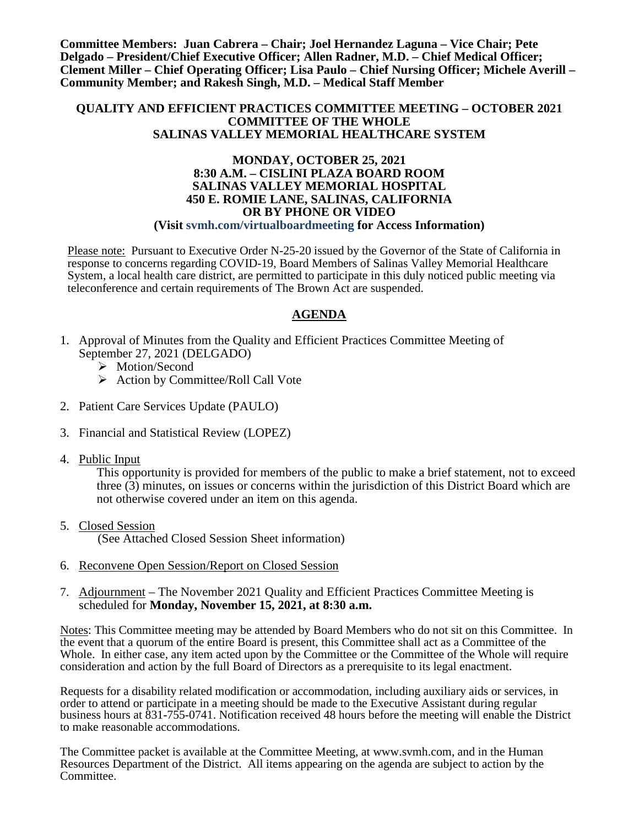**Committee Members: Juan Cabrera – Chair; Joel Hernandez Laguna – Vice Chair; Pete Delgado – President/Chief Executive Officer; Allen Radner, M.D. – Chief Medical Officer; Clement Miller – Chief Operating Officer; Lisa Paulo – Chief Nursing Officer; Michele Averill – Community Member; and Rakesh Singh, M.D. – Medical Staff Member**

#### **QUALITY AND EFFICIENT PRACTICES COMMITTEE MEETING – OCTOBER 2021 COMMITTEE OF THE WHOLE SALINAS VALLEY MEMORIAL HEALTHCARE SYSTEM**

#### **MONDAY, OCTOBER 25, 2021 8:30 A.M. – CISLINI PLAZA BOARD ROOM SALINAS VALLEY MEMORIAL HOSPITAL 450 E. ROMIE LANE, SALINAS, CALIFORNIA OR BY PHONE OR VIDEO (Visit svmh.com/virtualboardmeeting for Access Information)**

Please note: Pursuant to Executive Order N-25-20 issued by the Governor of the State of California in response to concerns regarding COVID-19, Board Members of Salinas Valley Memorial Healthcare System, a local health care district, are permitted to participate in this duly noticed public meeting via teleconference and certain requirements of The Brown Act are suspended.

## **AGENDA**

- 1. Approval of Minutes from the Quality and Efficient Practices Committee Meeting of September 27, 2021 (DELGADO)
	- > Motion/Second
	- $\triangleright$  Action by Committee/Roll Call Vote
- 2. Patient Care Services Update (PAULO)
- 3. Financial and Statistical Review (LOPEZ)
- 4. Public Input

This opportunity is provided for members of the public to make a brief statement, not to exceed three (3) minutes, on issues or concerns within the jurisdiction of this District Board which are not otherwise covered under an item on this agenda.

5. Closed Session

(See Attached Closed Session Sheet information)

- 6. Reconvene Open Session/Report on Closed Session
- 7. Adjournment The November 2021 Quality and Efficient Practices Committee Meeting is scheduled for **Monday, November 15, 2021, at 8:30 a.m.**

Notes: This Committee meeting may be attended by Board Members who do not sit on this Committee. In the event that a quorum of the entire Board is present, this Committee shall act as a Committee of the Whole. In either case, any item acted upon by the Committee or the Committee of the Whole will require consideration and action by the full Board of Directors as a prerequisite to its legal enactment.

Requests for a disability related modification or accommodation, including auxiliary aids or services, in order to attend or participate in a meeting should be made to the Executive Assistant during regular business hours at 831-755-0741. Notification received 48 hours before the meeting will enable the District to make reasonable accommodations.

The Committee packet is available at the Committee Meeting, at www.svmh.com, and in the Human Resources Department of the District. All items appearing on the agenda are subject to action by the Committee.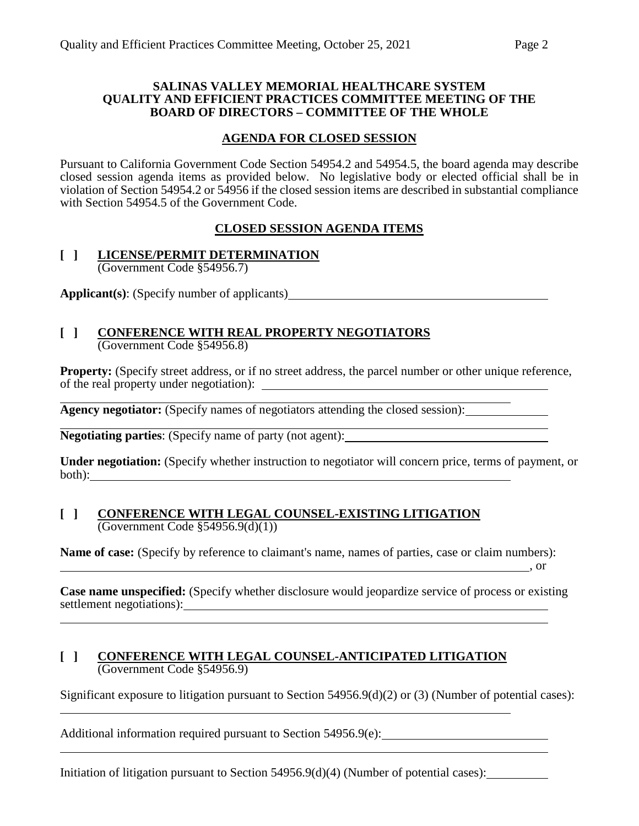#### **SALINAS VALLEY MEMORIAL HEALTHCARE SYSTEM QUALITY AND EFFICIENT PRACTICES COMMITTEE MEETING OF THE BOARD OF DIRECTORS – COMMITTEE OF THE WHOLE**

#### **AGENDA FOR CLOSED SESSION**

Pursuant to California Government Code Section 54954.2 and 54954.5, the board agenda may describe closed session agenda items as provided below. No legislative body or elected official shall be in violation of Section 54954.2 or 54956 if the closed session items are described in substantial compliance with Section 54954.5 of the Government Code.

#### **CLOSED SESSION AGENDA ITEMS**

#### **[ ] LICENSE/PERMIT DETERMINATION** (Government Code §54956.7)

**Applicant(s)**: (Specify number of applicants)

#### **[ ] CONFERENCE WITH REAL PROPERTY NEGOTIATORS** (Government Code §54956.8)

**Property:** (Specify street address, or if no street address, the parcel number or other unique reference, of the real property under negotiation):

**Agency negotiator:** (Specify names of negotiators attending the closed session):

**Negotiating parties**: (Specify name of party (not agent):

**Under negotiation:** (Specify whether instruction to negotiator will concern price, terms of payment, or both):

#### **[ ] CONFERENCE WITH LEGAL COUNSEL-EXISTING LITIGATION**  $\overline{(Government Code \$  54956.9(d)(1))}

**Name of case:** (Specify by reference to claimant's name, names of parties, case or claim numbers):

**Case name unspecified:** (Specify whether disclosure would jeopardize service of process or existing settlement negotiations):

, or

#### **[ ] CONFERENCE WITH LEGAL COUNSEL-ANTICIPATED LITIGATION** (Government Code §54956.9)

Significant exposure to litigation pursuant to Section 54956.9(d)(2) or (3) (Number of potential cases):

Additional information required pursuant to Section 54956.9(e):

Initiation of litigation pursuant to Section 54956.9(d)(4) (Number of potential cases):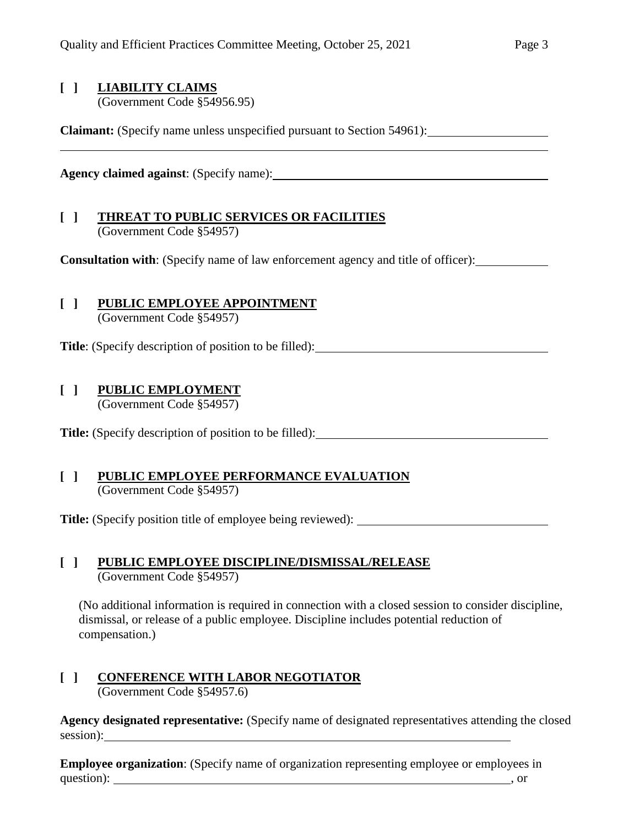## **[ ] LIABILITY CLAIMS**

(Government Code §54956.95)

**Claimant:** (Specify name unless unspecified pursuant to Section 54961):

**Agency claimed against**: (Specify name):

#### **[ ] THREAT TO PUBLIC SERVICES OR FACILITIES** (Government Code §54957)

**Consultation with**: (Specify name of law enforcement agency and title of officer):

## **[ ] PUBLIC EMPLOYEE APPOINTMENT**

(Government Code §54957)

**Title**: (Specify description of position to be filled):

## **[ ] PUBLIC EMPLOYMENT**

(Government Code §54957)

**Title:** (Specify description of position to be filled):

#### **[ ] PUBLIC EMPLOYEE PERFORMANCE EVALUATION** (Government Code §54957)

**Title:** (Specify position title of employee being reviewed):

#### **[ ] PUBLIC EMPLOYEE DISCIPLINE/DISMISSAL/RELEASE** (Government Code §54957)

(No additional information is required in connection with a closed session to consider discipline, dismissal, or release of a public employee. Discipline includes potential reduction of compensation.)

# **[ ] CONFERENCE WITH LABOR NEGOTIATOR**

(Government Code §54957.6)

**Agency designated representative:** (Specify name of designated representatives attending the closed session):

**Employee organization**: (Specify name of organization representing employee or employees in question): such a set of the contract of the contract of the contract of the contract of the contract of the contract of the contract of the contract of the contract of the contract of the contract of the contract of the c